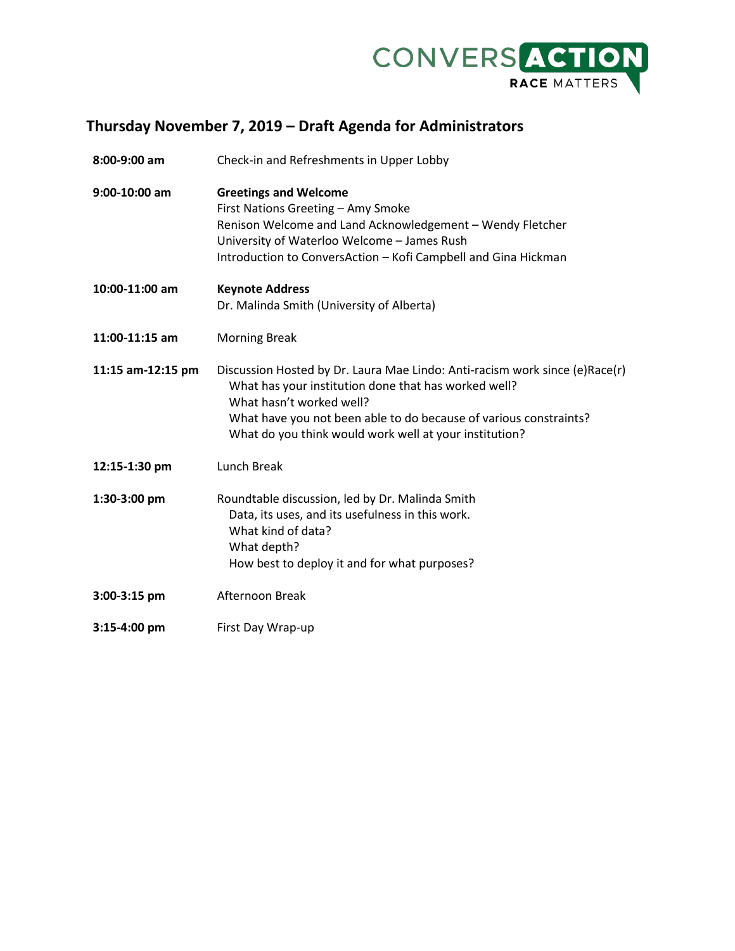

## **Thursday November 7, 2019 – Draft Agenda for Administrators**

| 8:00-9:00 am      | Check-in and Refreshments in Upper Lobby                                                                                                                                                                                                                                                       |
|-------------------|------------------------------------------------------------------------------------------------------------------------------------------------------------------------------------------------------------------------------------------------------------------------------------------------|
| $9:00-10:00$ am   | <b>Greetings and Welcome</b><br>First Nations Greeting - Amy Smoke<br>Renison Welcome and Land Acknowledgement - Wendy Fletcher<br>University of Waterloo Welcome - James Rush<br>Introduction to ConversAction - Kofi Campbell and Gina Hickman                                               |
| 10:00-11:00 am    | <b>Keynote Address</b><br>Dr. Malinda Smith (University of Alberta)                                                                                                                                                                                                                            |
| 11:00-11:15 am    | <b>Morning Break</b>                                                                                                                                                                                                                                                                           |
| 11:15 am-12:15 pm | Discussion Hosted by Dr. Laura Mae Lindo: Anti-racism work since (e)Race(r)<br>What has your institution done that has worked well?<br>What hasn't worked well?<br>What have you not been able to do because of various constraints?<br>What do you think would work well at your institution? |
| 12:15-1:30 pm     | Lunch Break                                                                                                                                                                                                                                                                                    |
| 1:30-3:00 pm      | Roundtable discussion, led by Dr. Malinda Smith<br>Data, its uses, and its usefulness in this work.<br>What kind of data?<br>What depth?<br>How best to deploy it and for what purposes?                                                                                                       |
| 3:00-3:15 pm      | Afternoon Break                                                                                                                                                                                                                                                                                |
| 3:15-4:00 pm      | First Day Wrap-up                                                                                                                                                                                                                                                                              |